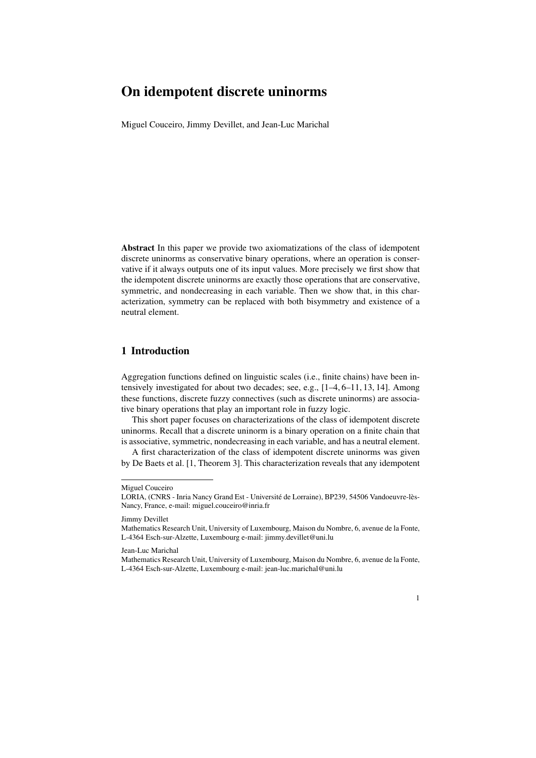# On idempotent discrete uninorms

Miguel Couceiro, Jimmy Devillet, and Jean-Luc Marichal

Abstract In this paper we provide two axiomatizations of the class of idempotent discrete uninorms as conservative binary operations, where an operation is conservative if it always outputs one of its input values. More precisely we first show that the idempotent discrete uninorms are exactly those operations that are conservative, symmetric, and nondecreasing in each variable. Then we show that, in this characterization, symmetry can be replaced with both bisymmetry and existence of a neutral element.

## 1 Introduction

Aggregation functions defined on linguistic scales (i.e., finite chains) have been intensively investigated for about two decades; see, e.g., [1–4, 6–11, 13, 14]. Among these functions, discrete fuzzy connectives (such as discrete uninorms) are associative binary operations that play an important role in fuzzy logic.

This short paper focuses on characterizations of the class of idempotent discrete uninorms. Recall that a discrete uninorm is a binary operation on a finite chain that is associative, symmetric, nondecreasing in each variable, and has a neutral element.

A first characterization of the class of idempotent discrete uninorms was given by De Baets et al. [1, Theorem 3]. This characterization reveals that any idempotent

Mathematics Research Unit, University of Luxembourg, Maison du Nombre, 6, avenue de la Fonte, L-4364 Esch-sur-Alzette, Luxembourg e-mail: jean-luc.marichal@uni.lu



Miguel Couceiro

LORIA, (CNRS - Inria Nancy Grand Est - Université de Lorraine), BP239, 54506 Vandoeuvre-lès-Nancy, France, e-mail: miguel.couceiro@inria.fr

Jimmy Devillet

Mathematics Research Unit, University of Luxembourg, Maison du Nombre, 6, avenue de la Fonte, L-4364 Esch-sur-Alzette, Luxembourg e-mail: jimmy.devillet@uni.lu

Jean-Luc Marichal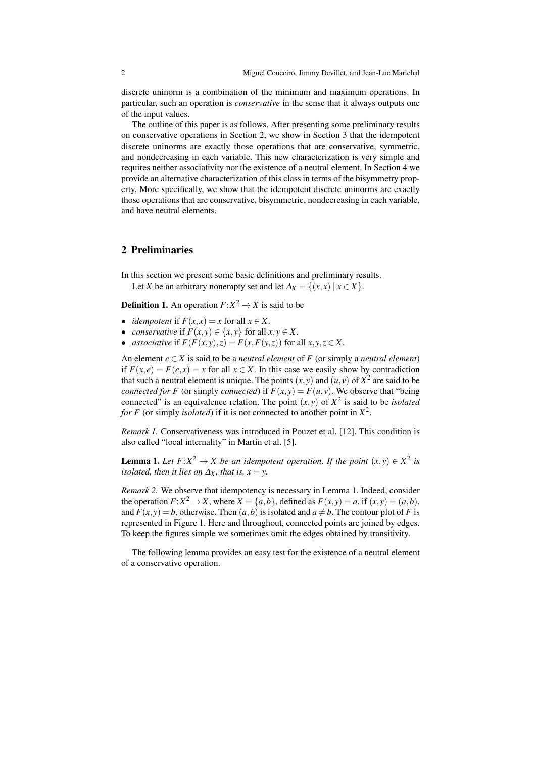discrete uninorm is a combination of the minimum and maximum operations. In particular, such an operation is *conservative* in the sense that it always outputs one of the input values.

The outline of this paper is as follows. After presenting some preliminary results on conservative operations in Section 2, we show in Section 3 that the idempotent discrete uninorms are exactly those operations that are conservative, symmetric, and nondecreasing in each variable. This new characterization is very simple and requires neither associativity nor the existence of a neutral element. In Section 4 we provide an alternative characterization of this class in terms of the bisymmetry property. More specifically, we show that the idempotent discrete uninorms are exactly those operations that are conservative, bisymmetric, nondecreasing in each variable, and have neutral elements.

#### 2 Preliminaries

In this section we present some basic definitions and preliminary results. Let *X* be an arbitrary nonempty set and let  $\Delta_X = \{(x, x) | x \in X\}$ .

**Definition 1.** An operation  $F: X^2 \to X$  is said to be

- *idempotent* if  $F(x,x) = x$  for all  $x \in X$ .
- *conservative* if  $F(x, y) \in \{x, y\}$  for all  $x, y \in X$ .
- *associative* if  $F(F(x, y), z) = F(x, F(y, z))$  for all  $x, y, z \in X$ .

An element  $e \in X$  is said to be a *neutral element* of  $F$  (or simply a *neutral element*) if  $F(x, e) = F(e, x) = x$  for all  $x \in X$ . In this case we easily show by contradiction that such a neutral element is unique. The points  $(x, y)$  and  $(u, v)$  of  $X^2$  are said to be *connected for F* (or simply *connected*) if  $F(x, y) = F(u, y)$ . We observe that "being" connected" is an equivalence relation. The point  $(x, y)$  of  $X^2$  is said to be *isolated for F* (or simply *isolated*) if it is not connected to another point in *X* 2 .

*Remark 1.* Conservativeness was introduced in Pouzet et al. [12]. This condition is also called "local internality" in Martín et al. [5].

**Lemma 1.** Let  $F: X^2 \to X$  be an idempotent operation. If the point  $(x, y) \in X^2$  is *isolated, then it lies on*  $\Delta_X$ *, that is, x = y.* 

*Remark 2.* We observe that idempotency is necessary in Lemma 1. Indeed, consider the operation  $F: X^2 \to X$ , where  $X = \{a, b\}$ , defined as  $F(x, y) = a$ , if  $(x, y) = (a, b)$ , and  $F(x, y) = b$ , otherwise. Then  $(a, b)$  is isolated and  $a \neq b$ . The contour plot of *F* is represented in Figure 1. Here and throughout, connected points are joined by edges. To keep the figures simple we sometimes omit the edges obtained by transitivity.

The following lemma provides an easy test for the existence of a neutral element of a conservative operation.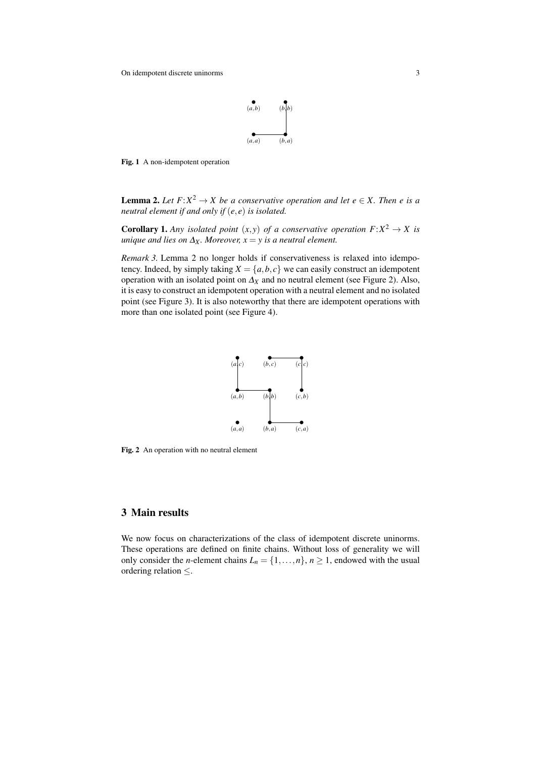

Fig. 1 A non-idempotent operation

**Lemma 2.** Let  $F: X^2 \to X$  be a conservative operation and let  $e \in X$ . Then e is a *neutral element if and only if* (*e, e*) *is isolated.*

**Corollary 1.** Any isolated point  $(x, y)$  of a conservative operation  $F: X^2 \to X$  is *unique and lies on*  $\Delta_X$ *. Moreover,*  $x = y$  *is a neutral element.* 

*Remark 3.* Lemma 2 no longer holds if conservativeness is relaxed into idempotency. Indeed, by simply taking  $X = \{a, b, c\}$  we can easily construct an idempotent operation with an isolated point on <sup>∆</sup>*<sup>X</sup>* and no neutral element (see Figure 2). Also, it is easy to construct an idempotent operation with a neutral element and no isolated point (see Figure 3). It is also noteworthy that there are idempotent operations with more than one isolated point (see Figure 4).



Fig. 2 An operation with no neutral element

### 3 Main results

We now focus on characterizations of the class of idempotent discrete uninorms. These operations are defined on finite chains. Without loss of generality we will only consider the *n*-element chains  $L_n = \{1, \ldots, n\}$ ,  $n \ge 1$ , endowed with the usual ordering relation *≤*.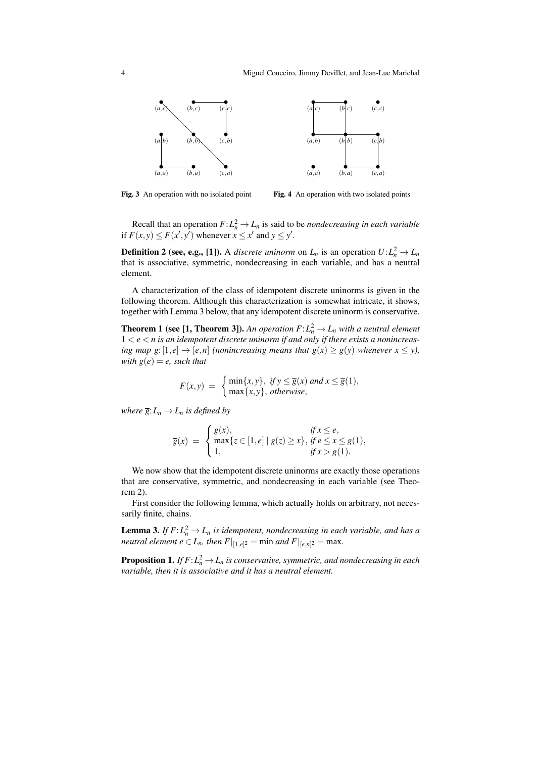

Fig. 3 An operation with no isolated point

Fig. 4 An operation with two isolated points

Recall that an operation  $F: L_n^2 \to L_n$  is said to be *nondecreasing in each variable* if  $F(x, y) \leq F(x', y')$  whenever  $x \leq x'$  and  $y \leq y'$ .

**Definition 2 (see, e.g., [1]).** A *discrete uninorm* on  $L_n$  is an operation  $U: L_n^2 \to L_n$ that is associative, symmetric, nondecreasing in each variable, and has a neutral element.

A characterization of the class of idempotent discrete uninorms is given in the following theorem. Although this characterization is somewhat intricate, it shows, together with Lemma 3 below, that any idempotent discrete uninorm is conservative.

**Theorem 1 (see [1, Theorem 3]).** An operation  $F: L_n^2 \to L_n$  with a neutral element  $1 < e < n$  is an idempotent discrete uninorm if and only if there exists a nonincreas*ing map g*:  $[1,e] \rightarrow [e,n]$  *(nonincreasing means that g(x) > g(y) whenever*  $x < y$ *), with*  $g(e) = e$ *, such that* 

$$
F(x,y) = \begin{cases} \min\{x,y\}, & \text{if } y \le \overline{g}(x) \text{ and } x \le \overline{g}(1), \\ \max\{x,y\}, & \text{otherwise,} \end{cases}
$$

*where*  $\overline{g}: L_n \to L_n$  *is defined by* 

$$
\overline{g}(x) = \begin{cases} g(x), & \text{if } x \le e, \\ \max\{z \in [1, e] \mid g(z) \ge x\}, & \text{if } e \le x \le g(1), \\ 1, & \text{if } x > g(1). \end{cases}
$$

We now show that the idempotent discrete uninorms are exactly those operations that are conservative, symmetric, and nondecreasing in each variable (see Theorem 2).

First consider the following lemma, which actually holds on arbitrary, not necessarily finite, chains.

**Lemma 3.** If  $F: L_n^2 \to L_n$  is idempotent, nondecreasing in each variable, and has a *neutral element*  $e \in L_n$ *, then*  $F|_{[1,e]^2} = \min$  *and*  $F|_{[e,n]^2} = \max$ *.* 

**Proposition 1.** If  $F$ : $L_n^2 \to L_n$  is conservative, symmetric, and nondecreasing in each *variable, then it is associative and it has a neutral element.*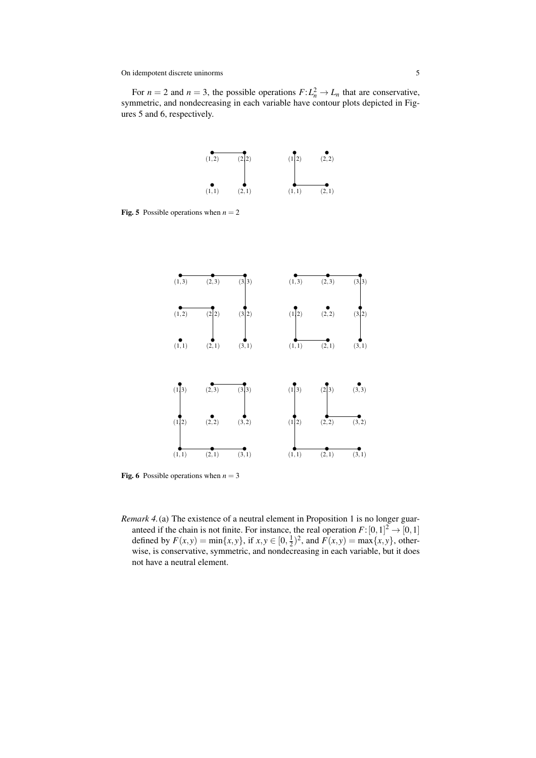For  $n = 2$  and  $n = 3$ , the possible operations  $F: L_n^2 \to L_n$  that are conservative, symmetric, and nondecreasing in each variable have contour plots depicted in Figures 5 and 6, respectively.



Fig. 5 Possible operations when  $n = 2$ 



**Fig. 6** Possible operations when  $n = 3$ 

*Remark 4.*(a) The existence of a neutral element in Proposition 1 is no longer guaranteed if the chain is not finite. For instance, the real operation  $F: [0,1]^2 \to [0,1]$ defined by  $F(x, y) = min\{x, y\}$ , if  $x, y \in [0, \frac{1}{2})^2$ , and  $F(x, y) = max\{x, y\}$ , otherwise, is conservative, symmetric, and nondecreasing in each variable, but it does not have a neutral element.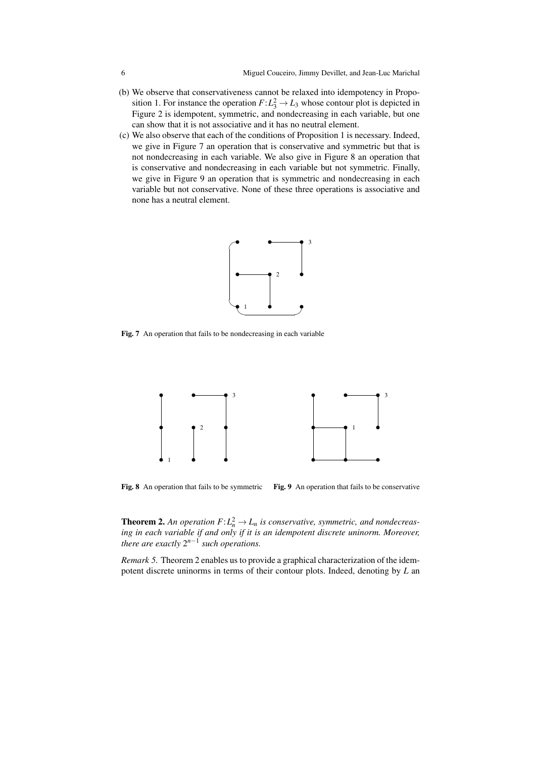- (b) We observe that conservativeness cannot be relaxed into idempotency in Proposition 1. For instance the operation  $F: L_3^2 \to L_3$  whose contour plot is depicted in Figure 2 is idempotent, symmetric, and nondecreasing in each variable, but one can show that it is not associative and it has no neutral element.
- (c) We also observe that each of the conditions of Proposition 1 is necessary. Indeed, we give in Figure 7 an operation that is conservative and symmetric but that is not nondecreasing in each variable. We also give in Figure 8 an operation that is conservative and nondecreasing in each variable but not symmetric. Finally, we give in Figure 9 an operation that is symmetric and nondecreasing in each variable but not conservative. None of these three operations is associative and none has a neutral element.



Fig. 7 An operation that fails to be nondecreasing in each variable



Fig. 8 An operation that fails to be symmetric Fig. 9 An operation that fails to be conservative

**Theorem 2.** An operation  $F: L_n^2 \to L_n$  is conservative, symmetric, and nondecreas*ing in each variable if and only if it is an idempotent discrete uninorm. Moreover, there are exactly* 2 *n−*1 *such operations.*

*Remark 5.* Theorem 2 enables us to provide a graphical characterization of the idempotent discrete uninorms in terms of their contour plots. Indeed, denoting by *L* an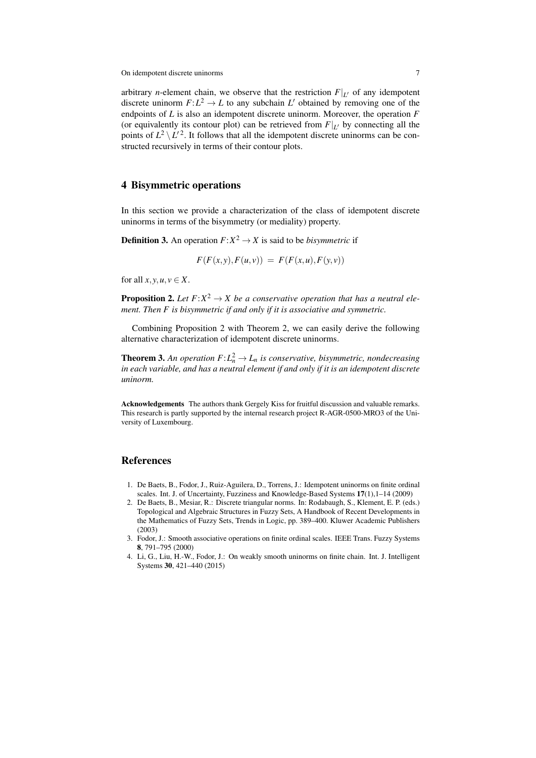On idempotent discrete uninorms 7

arbitrary *n*-element chain, we observe that the restriction  $F|_{L}$  of any idempotent discrete uninorm  $F: L^2 \to L$  to any subchain  $L'$  obtained by removing one of the endpoints of *L* is also an idempotent discrete uninorm. Moreover, the operation *F* (or equivalently its contour plot) can be retrieved from  $F|_{L}$  by connecting all the points of  $L^2 \setminus L'^2$ . It follows that all the idempotent discrete uninorms can be constructed recursively in terms of their contour plots.

### 4 Bisymmetric operations

In this section we provide a characterization of the class of idempotent discrete uninorms in terms of the bisymmetry (or mediality) property.

**Definition 3.** An operation  $F: X^2 \to X$  is said to be *bisymmetric* if

$$
F(F(x, y), F(u, v)) = F(F(x, u), F(y, v))
$$

for all  $x, y, u, v \in X$ .

**Proposition 2.** Let  $F: X^2 \to X$  be a conservative operation that has a neutral ele*ment. Then F is bisymmetric if and only if it is associative and symmetric.*

Combining Proposition 2 with Theorem 2, we can easily derive the following alternative characterization of idempotent discrete uninorms.

**Theorem 3.** An operation  $F: L_n^2 \to L_n$  is conservative, bisymmetric, nondecreasing *in each variable, and has a neutral element if and only if it is an idempotent discrete uninorm.*

Acknowledgements The authors thank Gergely Kiss for fruitful discussion and valuable remarks. This research is partly supported by the internal research project R-AGR-0500-MRO3 of the University of Luxembourg.

#### References

- 1. De Baets, B., Fodor, J., Ruiz-Aguilera, D., Torrens, J.: Idempotent uninorms on finite ordinal scales. Int. J. of Uncertainty, Fuzziness and Knowledge-Based Systems  $17(1)$ ,  $1-14(2009)$
- 2. De Baets, B., Mesiar, R.: Discrete triangular norms. In: Rodabaugh, S., Klement, E. P. (eds.) Topological and Algebraic Structures in Fuzzy Sets, A Handbook of Recent Developments in the Mathematics of Fuzzy Sets, Trends in Logic, pp. 389–400. Kluwer Academic Publishers (2003)
- 3. Fodor, J.: Smooth associative operations on finite ordinal scales. IEEE Trans. Fuzzy Systems 8, 791–795 (2000)
- 4. Li, G., Liu, H.-W., Fodor, J.: On weakly smooth uninorms on finite chain. Int. J. Intelligent Systems 30, 421–440 (2015)